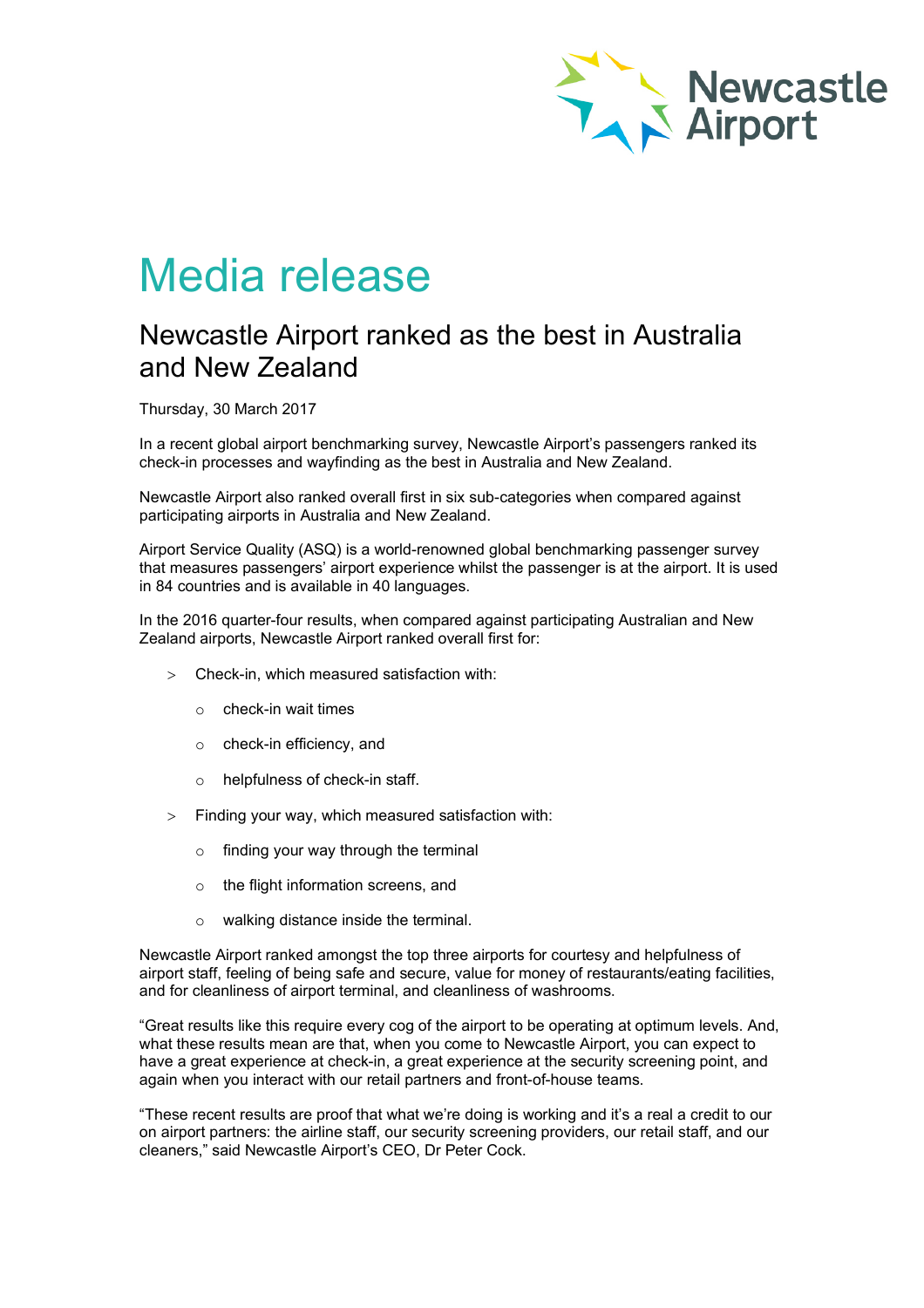

## Media release

## Newcastle Airport ranked as the best in Australia and New Zealand

Thursday, 30 March 2017

In a recent global airport benchmarking survey, Newcastle Airport's passengers ranked its check-in processes and wayfinding as the best in Australia and New Zealand.

Newcastle Airport also ranked overall first in six sub-categories when compared against participating airports in Australia and New Zealand.

Airport Service Quality (ASQ) is a world-renowned global benchmarking passenger survey that measures passengers' airport experience whilst the passenger is at the airport. It is used in 84 countries and is available in 40 languages.

In the 2016 quarter-four results, when compared against participating Australian and New Zealand airports, Newcastle Airport ranked overall first for:

- > Check-in, which measured satisfaction with:
	- o check-in wait times
	- o check-in efficiency, and
	- o helpfulness of check-in staff.
- > Finding your way, which measured satisfaction with:
	- o finding your way through the terminal
	- o the flight information screens, and
	- o walking distance inside the terminal.

Newcastle Airport ranked amongst the top three airports for courtesy and helpfulness of airport staff, feeling of being safe and secure, value for money of restaurants/eating facilities, and for cleanliness of airport terminal, and cleanliness of washrooms.

"Great results like this require every cog of the airport to be operating at optimum levels. And, what these results mean are that, when you come to Newcastle Airport, you can expect to have a great experience at check-in, a great experience at the security screening point, and again when you interact with our retail partners and front-of-house teams.

"These recent results are proof that what we're doing is working and it's a real a credit to our on airport partners: the airline staff, our security screening providers, our retail staff, and our cleaners," said Newcastle Airport's CEO, Dr Peter Cock.